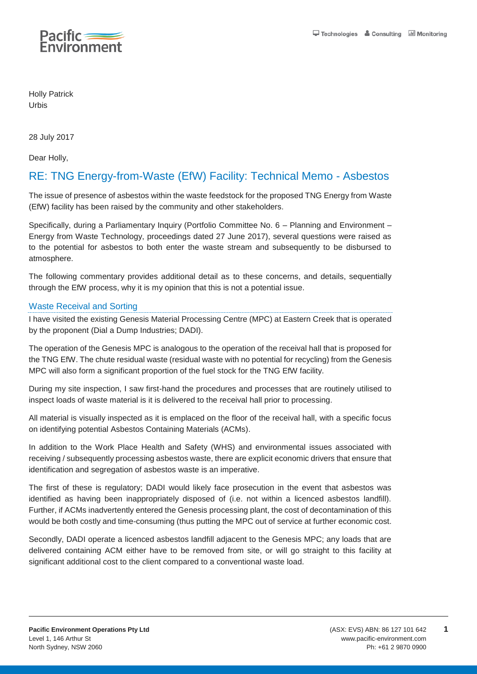

Holly Patrick Urbis

28 July 2017

Dear Holly,

# RE: TNG Energy-from-Waste (EfW) Facility: Technical Memo - Asbestos

The issue of presence of asbestos within the waste feedstock for the proposed TNG Energy from Waste (EfW) facility has been raised by the community and other stakeholders.

Specifically, during a Parliamentary Inquiry (Portfolio Committee No. 6 – Planning and Environment – Energy from Waste Technology, proceedings dated 27 June 2017), several questions were raised as to the potential for asbestos to both enter the waste stream and subsequently to be disbursed to atmosphere.

The following commentary provides additional detail as to these concerns, and details, sequentially through the EfW process, why it is my opinion that this is not a potential issue.

### Waste Receival and Sorting

I have visited the existing Genesis Material Processing Centre (MPC) at Eastern Creek that is operated by the proponent (Dial a Dump Industries; DADI).

The operation of the Genesis MPC is analogous to the operation of the receival hall that is proposed for the TNG EfW. The chute residual waste (residual waste with no potential for recycling) from the Genesis MPC will also form a significant proportion of the fuel stock for the TNG EfW facility.

During my site inspection, I saw first-hand the procedures and processes that are routinely utilised to inspect loads of waste material is it is delivered to the receival hall prior to processing.

All material is visually inspected as it is emplaced on the floor of the receival hall, with a specific focus on identifying potential Asbestos Containing Materials (ACMs).

In addition to the Work Place Health and Safety (WHS) and environmental issues associated with receiving / subsequently processing asbestos waste, there are explicit economic drivers that ensure that identification and segregation of asbestos waste is an imperative.

The first of these is regulatory; DADI would likely face prosecution in the event that asbestos was identified as having been inappropriately disposed of (i.e. not within a licenced asbestos landfill). Further, if ACMs inadvertently entered the Genesis processing plant, the cost of decontamination of this would be both costly and time-consuming (thus putting the MPC out of service at further economic cost.

Secondly, DADI operate a licenced asbestos landfill adjacent to the Genesis MPC; any loads that are delivered containing ACM either have to be removed from site, or will go straight to this facility at significant additional cost to the client compared to a conventional waste load.

**1**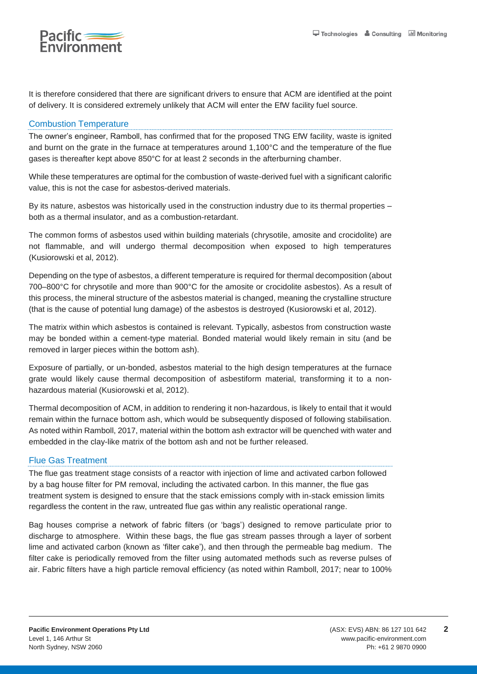

It is therefore considered that there are significant drivers to ensure that ACM are identified at the point of delivery. It is considered extremely unlikely that ACM will enter the EfW facility fuel source.

## Combustion Temperature

The owner's engineer, Ramboll, has confirmed that for the proposed TNG EfW facility, waste is ignited and burnt on the grate in the furnace at temperatures around 1,100°C and the temperature of the flue gases is thereafter kept above 850°C for at least 2 seconds in the afterburning chamber.

While these temperatures are optimal for the combustion of waste-derived fuel with a significant calorific value, this is not the case for asbestos-derived materials.

By its nature, asbestos was historically used in the construction industry due to its thermal properties – both as a thermal insulator, and as a combustion-retardant.

The common forms of asbestos used within building materials (chrysotile, amosite and crocidolite) are not flammable, and will undergo thermal decomposition when exposed to high temperatures (Kusiorowski et al, 2012).

Depending on the type of asbestos, a different temperature is required for thermal decomposition (about 700–800°C for chrysotile and more than 900°C for the amosite or crocidolite asbestos). As a result of this process, the mineral structure of the asbestos material is changed, meaning the crystalline structure (that is the cause of potential lung damage) of the asbestos is destroyed (Kusiorowski et al, 2012).

The matrix within which asbestos is contained is relevant. Typically, asbestos from construction waste may be bonded within a cement-type material. Bonded material would likely remain in situ (and be removed in larger pieces within the bottom ash).

Exposure of partially, or un-bonded, asbestos material to the high design temperatures at the furnace grate would likely cause thermal decomposition of asbestiform material, transforming it to a nonhazardous material (Kusiorowski et al, 2012).

Thermal decomposition of ACM, in addition to rendering it non-hazardous, is likely to entail that it would remain within the furnace bottom ash, which would be subsequently disposed of following stabilisation. As noted within Ramboll, 2017, material within the bottom ash extractor will be quenched with water and embedded in the clay-like matrix of the bottom ash and not be further released.

### Flue Gas Treatment

The flue gas treatment stage consists of a reactor with injection of lime and activated carbon followed by a bag house filter for PM removal, including the activated carbon. In this manner, the flue gas treatment system is designed to ensure that the stack emissions comply with in-stack emission limits regardless the content in the raw, untreated flue gas within any realistic operational range.

Bag houses comprise a network of fabric filters (or 'bags') designed to remove particulate prior to discharge to atmosphere. Within these bags, the flue gas stream passes through a layer of sorbent lime and activated carbon (known as 'filter cake'), and then through the permeable bag medium. The filter cake is periodically removed from the filter using automated methods such as reverse pulses of air. Fabric filters have a high particle removal efficiency (as noted within Ramboll, 2017; near to 100%